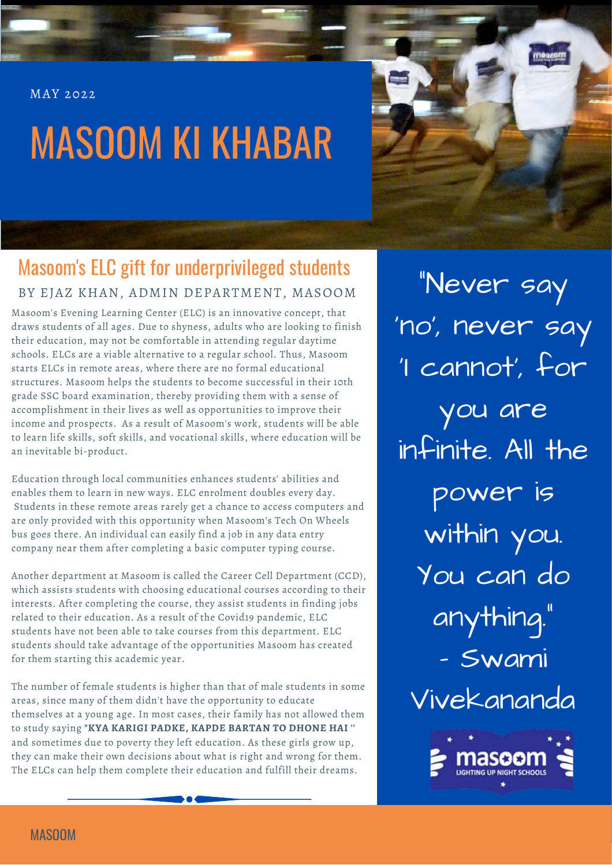MAY 2022

# MASOOM KI KHABAR



### Masoom's ELC gift for underprivileged students BY EJAZ KHAN, ADMIN DEPARTMENT, MASOOM

Masoom's Evening Learning Center (ELC) is an innovative concept, that draws students of all ages. Due to shyness, adults who are looking to finish their education, may not be comfortable in attending regular daytime schools. ELCs are a viable alternative to a regular school. Thus, Masoom starts ELCs in remote areas, where there are no formal educational structures. Masoom helps the students to become successful in their 10th grade SSC board examination, thereby providing them with a sense of accomplishment in their lives as well as opportunities to improve their income and prospects. As a result of Masoom's work, students will be able to learn life skills, soft skills, and vocational skills, where education will be an inevitable bi-product.

Education through local communities enhances students' abilities and enables them to learn in new ways. ELC enrolment doubles every day. Students in these remote areas rarely get a chance to access computers and are only provided with this opportunity when Masoom's Tech On Wheels bus goes there. An individual can easily find a job in any data entry company near them after completing a basic computer typing course.

Another department at Masoom is called the Career Cell Department (CCD), which assists students with choosing educational courses according to their interests. After completing the course, they assist students in finding jobs related to their education. As a result of the Covid19 pandemic, ELC students have not been able to take courses from this department. ELC students should take advantage of the opportunities Masoom has created for them starting this academic year.

The number of female students is higher than that of male students in some areas, since many of them didn't have the opportunity to educate themselves at a young age. In most cases, their family has not allowed them to study saying **"KYA KARIGI PADKE, KAPDE BARTAN TO DHONE HAI ''** and sometimes due to poverty they left education. As these girls grow up, they can make their own decisions about what is right and wrong for them. The ELCs can help them complete their education and fulfill their dreams.

"Never say 'no' , never say 'I cannot' , for you are infinite. All the power is within you. You can do anything." - Swami Vivekananda



MASOOM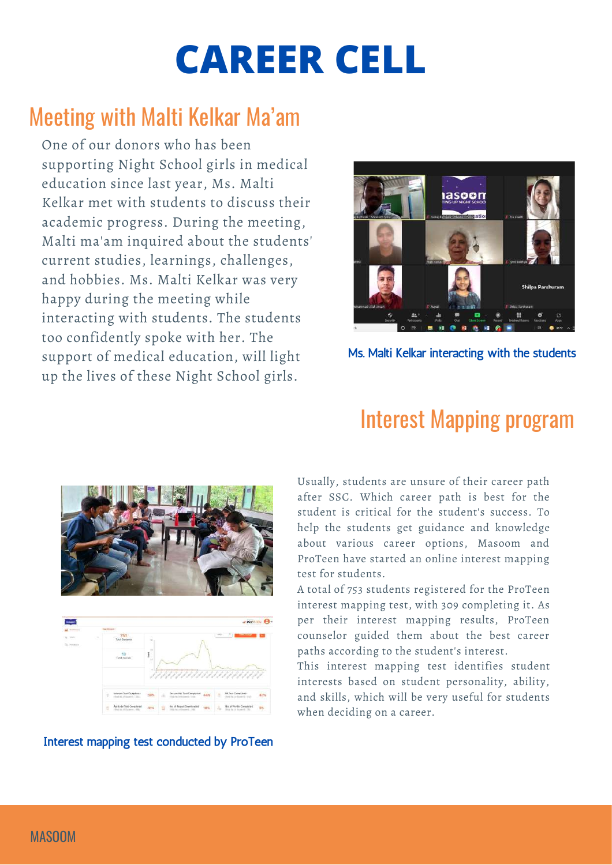# **CAREER CELL**

## Meeting with Malti Kelkar Ma'am

One of our donors who has been supporting Night School girls in medical education since last year, Ms. Malti Kelkar met with students to discuss their academic progress. During the meeting, Malti ma'am inquired about the students' current studies, learnings, challenges, and hobbies. Ms. Malti Kelkar was very happy during the meeting while interacting with students. The students too confidently spoke with her. The support of medical education, will light up the lives of these Night School girls.



Ms. Malti Kelkar interacting with the students





#### Interest mapping test conducted by ProTeen

### Interest Mapping program

Usually, students are unsure of their career path after SSC. Which career path is best for the student is critical for the student's success. To help the students get guidance and knowledge about various career options, Masoom and ProTeen have started an online interest mapping test for students.

A total of 753 students registered for the ProTeen interest mapping test, with 309 completing it. As per their interest mapping results, ProTeen counselor guided them about the best career paths according to the student's interest.

This interest mapping test identifies student interests based on student personality, ability, and skills, which will be very useful for students when deciding on a career.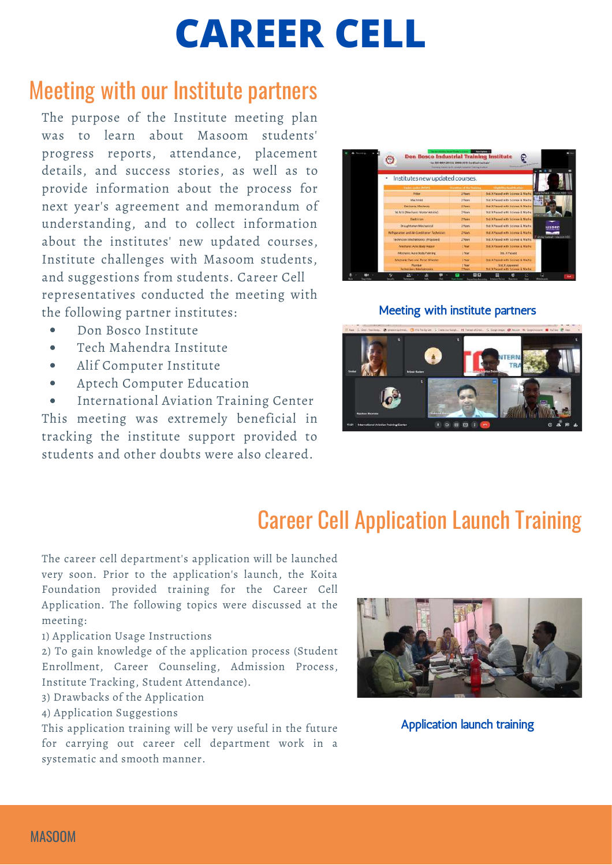# **CAREER CELL**

### Meeting with our Institute partners

The purpose of the Institute meeting plan was to learn about Masoom students' progress reports, attendance, placement details, and success stories, as well as to provide information about the process for next year's agreement and memorandum of understanding, and to collect information about the institutes' new updated courses, Institute challenges with Masoom students, and suggestions from students. Career Cell representatives conducted the meeting with the following partner institutes:

- Don Bosco Institute  $\bullet$
- Tech Mahendra Institute
- Alif Computer Institute  $\bullet$
- Aptech Computer Education  $\bullet$

International Aviation Training Center  $\bullet$ This meeting was extremely beneficial in tracking the institute support provided to students and other doubts were also cleared.

| こっ 中田<br>Institutes new updated courses.           |                           |                                                              |
|----------------------------------------------------|---------------------------|--------------------------------------------------------------|
|                                                    |                           |                                                              |
| Trailer plake (PITA'S)                             | Character of the Training | <b>STAGERO CHARTERATIVE</b>                                  |
| <b>Pitter</b>                                      | 2 Years                   | 55d, X Passed with Source & Maths                            |
| <b>MacFinlet</b>                                   | 2 Years                   | Std. X Passed with Science & Matter 1                        |
| <b>Electronic Mechanic</b>                         | 2 Years                   | Shd. X Passed with Science & Matter.                         |
| NUM3! (Mechaol): Motor Nelvicle)                   | 2 Years                   | Std. X Passed with Science & Maths-                          |
| <b>The trician</b>                                 | 2 Years                   | Std. X Passed with Science & Maths:                          |
| Draughtcrean Mechanical                            | Z Yerrs                   | She. X Passed with Science & Maths:                          |
| <b>Natigaraton and AI: Conditioner: Technician</b> | 2 Young                   | Std. x Passat with Stiera e & Maths.                         |
| <b>Fechnician Machatronics (Prograed)</b>          | 2 Years                   | Std. X Passed with Science & Maths                           |
| Mechanic Auto Body Resur                           | 2 Now                     | Std. X Passed with Science & Maths:                          |
| Mechanic Auto Body Painting                        | 2 hour                    | <b>Std. X Passed</b>                                         |
| Mechanic Jwo and Three Wheeler                     | <b>Show</b>               | Soll it Passed with Science & Matter                         |
| Plumber<br>Terminians Aforhattunes                 | <b>STRAK</b><br>2 Years   | <b>Std. X Accessed</b><br>Mr. X Passed with Science & Maths. |

#### Meeting with institute partners



### Career Cell Application Launch Training

The career cell department's application will be launched very soon. Prior to the application's launch, the Koita Foundation provided training for the Career Cell Application. The following topics were discussed at the meeting:

1) Application Usage Instructions

2) To gain knowledge of the application process (Student Enrollment, Career Counseling, Admission Process, Institute Tracking, Student Attendance).

3) Drawbacks of the Application

4) Application Suggestions

This application training will be very useful in the future for carrying out career cell department work in a systematic and smooth manner.



Application launch training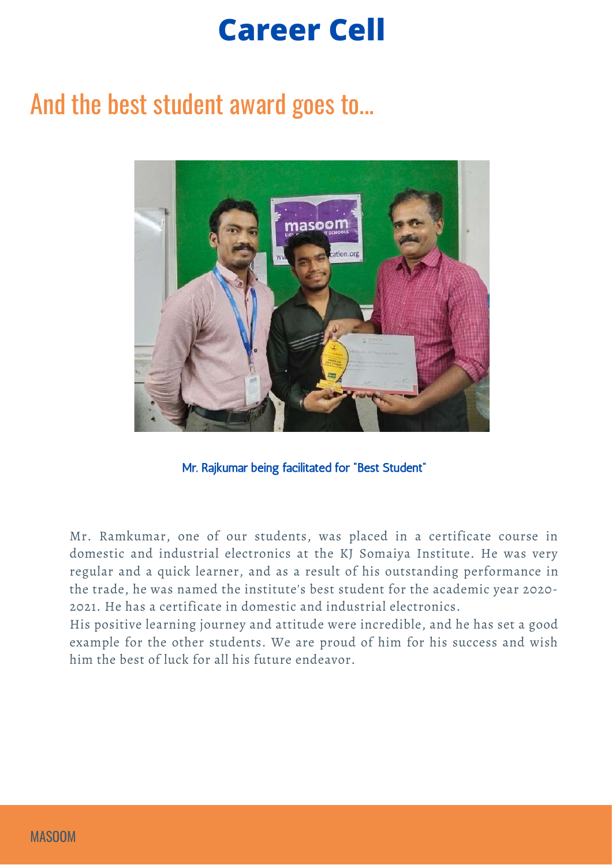# **Career Cell**

## And the best student award goes to...



Mr. Rajkumar being facilitated for "Best Student"

Mr. Ramkumar, one of our students, was placed in a certificate course in domestic and industrial electronics at the KJ Somaiya Institute. He was very regular and a quick learner, and as a result of his outstanding performance in the trade, he was named the institute's best student for the academic year 2020- 2021. He has a certificate in domestic and industrial electronics.

His positive learning journey and attitude were incredible, and he has set a good example for the other students. We are proud of him for his success and wish him the best of luck for all his future endeavor.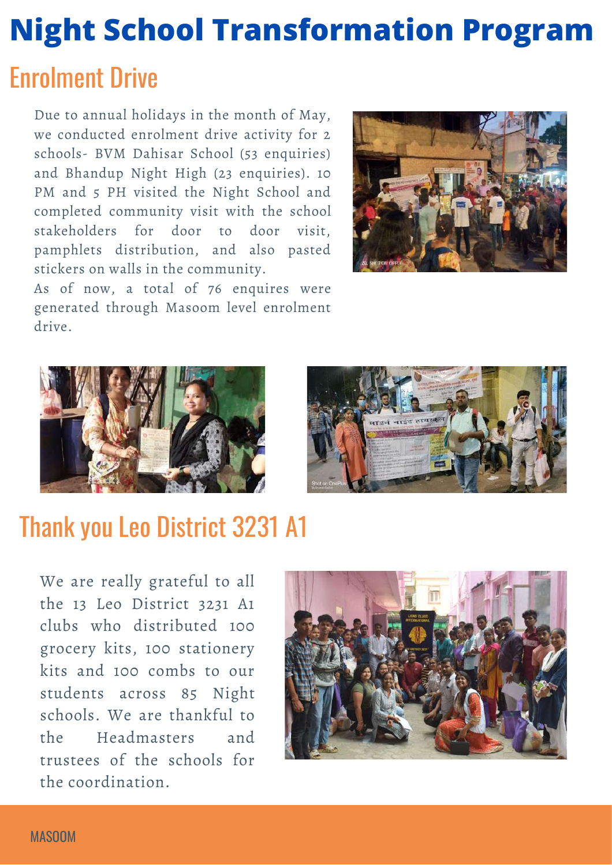# Enrolment Drive **Night School Transformation Program**

Due to annual holidays in the month of May, we conducted enrolment drive activity for 2 schools- BVM Dahisar School (53 enquiries) and Bhandup Night High (23 enquiries). 10 PM and 5 PH visited the Night School and completed community visit with the school stakeholders for door to door visit, pamphlets distribution, and also pasted stickers on walls in the community.

As of now, a total of 76 enquires were generated through Masoom level enrolment



drive.



## Thank you Leo District 3231 A1

We are really grateful to all the 13 Leo District 3231 A1 clubs who distributed 100 grocery kits, 100 stationery kits and 100 combs to our students across 85 Night schools. We are thankful to the Headmasters and trustees of the schools for the coordination.

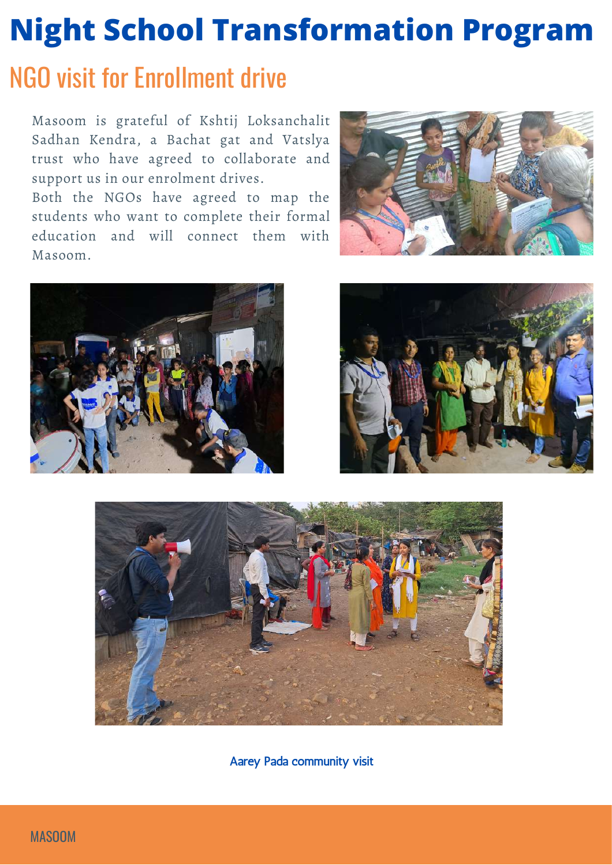# **Night School Transformation Program**

## NGO visit for Enrollment drive

Masoom is grateful of Kshtij Loksanchalit Sadhan Kendra, a Bachat gat and Vatslya trust who have agreed to collaborate and support us in our enrolment drives.

Both the NGOs have agreed to map the students who want to complete their formal education and will connect them with Masoom.









Aarey Pada community visit